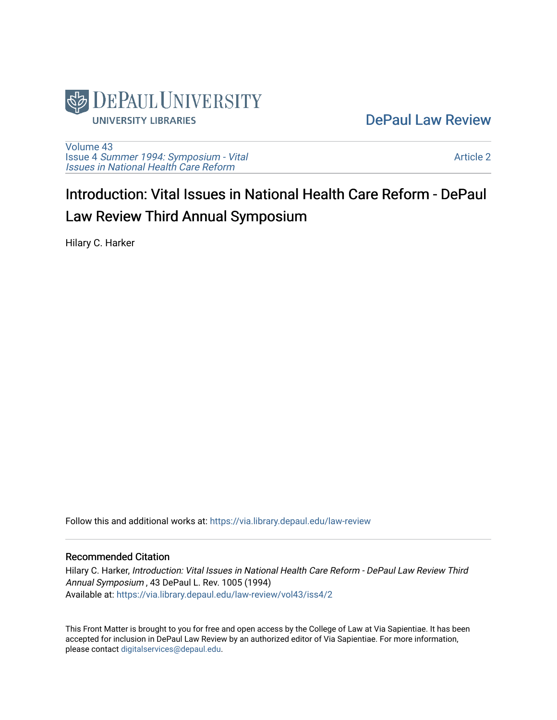

### [DePaul Law Review](https://via.library.depaul.edu/law-review)

[Volume 43](https://via.library.depaul.edu/law-review/vol43) Issue 4 [Summer 1994: Symposium - Vital](https://via.library.depaul.edu/law-review/vol43/iss4) [Issues in National Health Care Reform](https://via.library.depaul.edu/law-review/vol43/iss4) 

[Article 2](https://via.library.depaul.edu/law-review/vol43/iss4/2) 

# Introduction: Vital Issues in National Health Care Reform - DePaul Law Review Third Annual Symposium

Hilary C. Harker

Follow this and additional works at: [https://via.library.depaul.edu/law-review](https://via.library.depaul.edu/law-review?utm_source=via.library.depaul.edu%2Flaw-review%2Fvol43%2Fiss4%2F2&utm_medium=PDF&utm_campaign=PDFCoverPages) 

#### Recommended Citation

Hilary C. Harker, Introduction: Vital Issues in National Health Care Reform - DePaul Law Review Third Annual Symposium , 43 DePaul L. Rev. 1005 (1994) Available at: [https://via.library.depaul.edu/law-review/vol43/iss4/2](https://via.library.depaul.edu/law-review/vol43/iss4/2?utm_source=via.library.depaul.edu%2Flaw-review%2Fvol43%2Fiss4%2F2&utm_medium=PDF&utm_campaign=PDFCoverPages) 

This Front Matter is brought to you for free and open access by the College of Law at Via Sapientiae. It has been accepted for inclusion in DePaul Law Review by an authorized editor of Via Sapientiae. For more information, please contact [digitalservices@depaul.edu.](mailto:digitalservices@depaul.edu)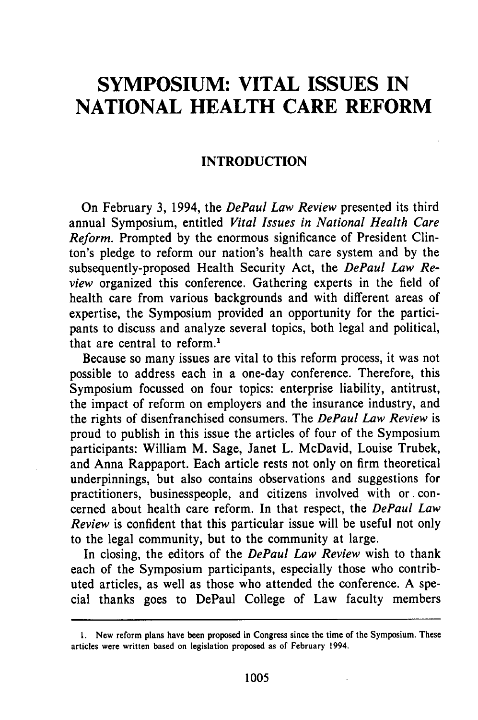## **SYMPOSIUM: VITAL ISSUES IN NATIONAL HEALTH CARE REFORM**

#### **INTRODUCTION**

On February **3,** 1994, the *DePaul Law Review* presented its third annual Symposium, entitled *Vital Issues in National Health Care Reform.* Prompted **by** the enormous significance of President Clinton's pledge to reform our nation's health care system and **by** the subsequently-proposed Health Security Act, the *DePaul Law Review* organized this conference. Gathering experts in the field of health care from various backgrounds and with different areas of expertise, the Symposium provided an opportunity for the participants to discuss and analyze several topics, both legal and political, that are central to reform.<sup>1</sup>

Because so many issues are vital to this reform process, it was not possible to address each in a one-day conference. Therefore, this Symposium focussed on four topics: enterprise liability, antitrust, the impact of reform on employers and the insurance industry, and the rights of disenfranchised consumers. The *DePaul Law Review* is proud to publish in this issue the articles of four of the Symposium participants: William M. Sage, Janet L. McDavid, Louise Trubek, and Anna Rappaport. Each article rests not only on firm theoretical underpinnings, but also contains observations and suggestions for practitioners, businesspeople, and citizens involved with or. concerned about health care reform. In that respect, the *DePaul Law Review* is confident that this particular issue will be useful not only to the legal community, but to the community at large.

In closing, the editors of the *DePaul Law Review* wish to thank each of the Symposium participants, especially those who contributed articles, as well as those who attended the conference. A special thanks goes to DePaul College of Law faculty members

**<sup>1.</sup>** New reform plans have been proposed in Congress since the time of the Symposium. These articles were written based on legislation proposed as of February 1994.